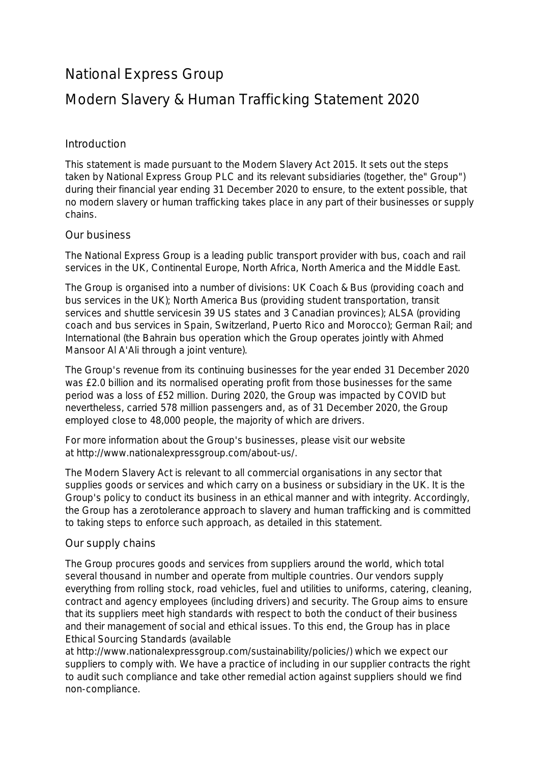# National Express Group

# Modern Slavery & Human Trafficking Statement 2020

## Introduction

This statement is made pursuant to the Modern Slavery Act 2015. It sets out the steps taken by National Express Group PLC and its relevant subsidiaries (together, the" Group") during their financial year ending 31 December 2020 to ensure, to the extent possible, that no modern slavery or human trafficking takes place in any part of their businesses or supply chains.

### Our business

The National Express Group is a leading public transport provider with bus, coach and rail services in the UK, Continental Europe, North Africa, North America and the Middle East.

The Group is organised into a number of divisions: UK Coach & Bus (providing coach and bus services in the UK); North America Bus (providing student transportation, transit services and shuttle servicesin 39 US states and 3 Canadian provinces); ALSA (providing coach and bus services in Spain, Switzerland, Puerto Rico and Morocco); German Rail; and International (the Bahrain bus operation which the Group operates jointly with Ahmed Mansoor Al A'Ali through a joint venture).

The Group's revenue from its continuing businesses for the year ended 31 December 2020 was £2.0 billion and its normalised operating profit from those businesses for the same period was a loss of £52 million. During 2020, the Group was impacted by COVID but nevertheless, carried 578 million passengers and, as of 31 December 2020, the Group employed close to 48,000 people, the majority of which are drivers.

For more information about the Group's businesses, please visit our website at http://www.nationalexpressgroup.com/about-us/.

The Modern Slavery Act is relevant to all commercial organisations in any sector that supplies goods or services and which carry on a business or subsidiary in the UK. It is the Group's policy to conduct its business in an ethical manner and with integrity. Accordingly, the Group has a zerotolerance approach to slavery and human trafficking and is committed to taking steps to enforce such approach, as detailed in this statement.

### Our supply chains

The Group procures goods and services from suppliers around the world, which total several thousand in number and operate from multiple countries. Our vendors supply everything from rolling stock, road vehicles, fuel and utilities to uniforms, catering, cleaning, contract and agency employees (including drivers) and security. The Group aims to ensure that its suppliers meet high standards with respect to both the conduct of their business and their management of social and ethical issues. To this end, the Group has in place Ethical Sourcing Standards (available

at http://www.nationalexpressgroup.com/sustainability/policies/) which we expect our suppliers to comply with. We have a practice of including in our supplier contracts the right to audit such compliance and take other remedial action against suppliers should we find non-compliance.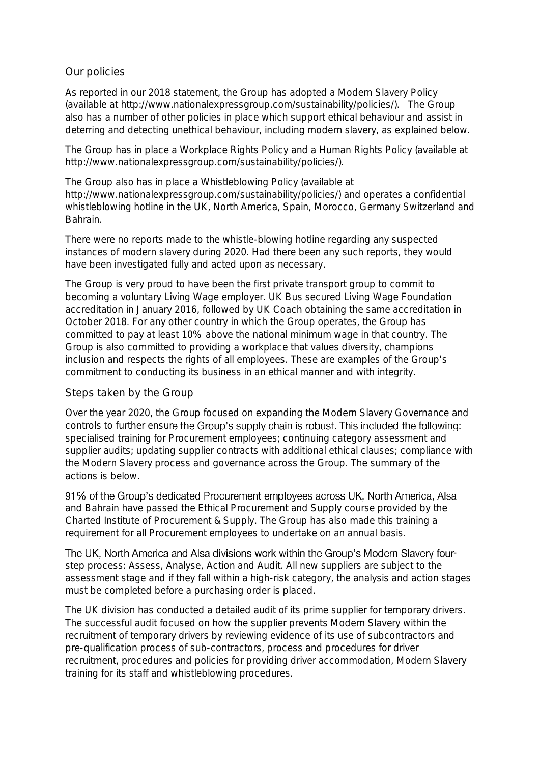#### Our policies

As reported in our 2018 statement, the Group has adopted a Modern Slavery Policy (available at http://www.nationalexpressgroup.com/sustainability/policies/). The Group also has a number of other policies in place which support ethical behaviour and assist in deterring and detecting unethical behaviour, including modern slavery, as explained below.

The Group has in place a Workplace Rights Policy and a Human Rights Policy (available at http://www.nationalexpressgroup.com/sustainability/policies/).

The Group also has in place a Whistleblowing Policy (available at http://www.nationalexpressgroup.com/sustainability/policies/) and operates a confidential whistleblowing hotline in the UK, North America, Spain, Morocco, Germany Switzerland and Bahrain.

There were no reports made to the whistle-blowing hotline regarding any suspected instances of modern slavery during 2020. Had there been any such reports, they would have been investigated fully and acted upon as necessary.

The Group is very proud to have been the first private transport group to commit to becoming a voluntary Living Wage employer. UK Bus secured Living Wage Foundation accreditation in January 2016, followed by UK Coach obtaining the same accreditation in October 2018. For any other country in which the Group operates, the Group has committed to pay at least 10% above the national minimum wage in that country. The Group is also committed to providing a workplace that values diversity, champions inclusion and respects the rights of all employees. These are examples of the Group's commitment to conducting its business in an ethical manner and with integrity.

### Steps taken by the Group

Over the year 2020, the Group focused on expanding the Modern Slavery Governance and controls to further ensure the Group's supply chain is robust. This included the following: specialised training for Procurement employees; continuing category assessment and supplier audits; updating supplier contracts with additional ethical clauses; compliance with the Modern Slavery process and governance across the Group. The summary of the actions is below.

91% of the Group's dedicated Procurement employees across UK, North America, Alsa and Bahrain have passed the Ethical Procurement and Supply course provided by the Charted Institute of Procurement & Supply. The Group has also made this training a requirement for all Procurement employees to undertake on an annual basis.

The UK, North America and Alsa divisions work within the Group's Modern Slavery fourstep process: Assess, Analyse, Action and Audit. All new suppliers are subject to the assessment stage and if they fall within a high-risk category, the analysis and action stages must be completed before a purchasing order is placed.

The UK division has conducted a detailed audit of its prime supplier for temporary drivers. The successful audit focused on how the supplier prevents Modern Slavery within the recruitment of temporary drivers by reviewing evidence of its use of subcontractors and pre-qualification process of sub-contractors, process and procedures for driver recruitment, procedures and policies for providing driver accommodation, Modern Slavery training for its staff and whistleblowing procedures.